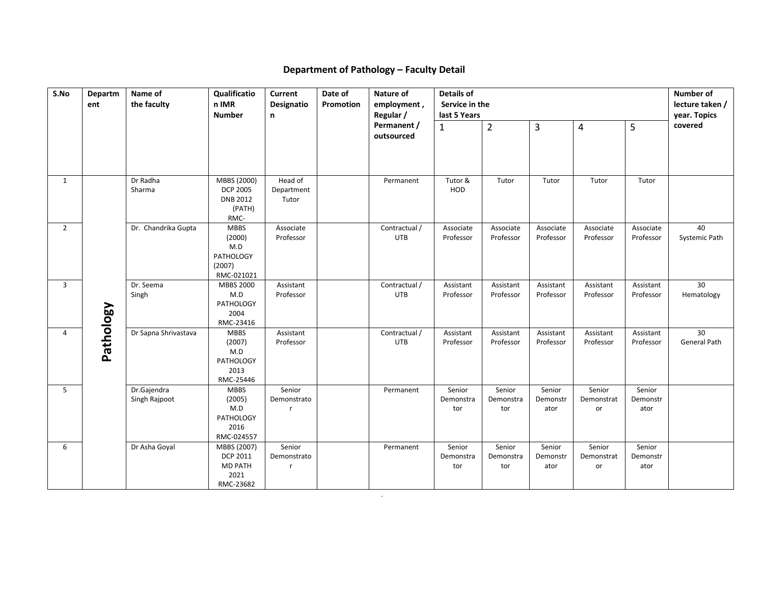## **Department of Pathology – Faculty Detail**

| S.No<br>Name of<br>Qualificatio<br>Current<br>Date of<br>Nature of<br>Details of<br>Departm<br>the faculty<br>n IMR<br>Promotion<br>ent |           |                              |                                                                          |                                   |  |                                                       |                                | Number of<br>lecture taken / |                            |                            |                            |                     |
|-----------------------------------------------------------------------------------------------------------------------------------------|-----------|------------------------------|--------------------------------------------------------------------------|-----------------------------------|--|-------------------------------------------------------|--------------------------------|------------------------------|----------------------------|----------------------------|----------------------------|---------------------|
|                                                                                                                                         |           |                              | <b>Number</b><br>n                                                       | Designatio                        |  | employment,<br>Regular /<br>Permanent /<br>outsourced | Service in the<br>last 5 Years |                              |                            |                            |                            | year. Topics        |
|                                                                                                                                         |           |                              |                                                                          |                                   |  |                                                       | $\mathbf{1}$                   | $\overline{2}$               | 3                          | 4                          | 5                          | covered             |
|                                                                                                                                         |           |                              |                                                                          |                                   |  |                                                       |                                |                              |                            |                            |                            |                     |
| $\mathbf{1}$                                                                                                                            |           | Dr Radha<br>Sharma           | MBBS (2000)<br><b>DCP 2005</b><br><b>DNB 2012</b><br>(PATH)<br>RMC-      | Head of<br>Department<br>Tutor    |  | Permanent                                             | Tutor &<br>HOD                 | Tutor                        | Tutor                      | Tutor                      | Tutor                      |                     |
| $\overline{2}$                                                                                                                          |           | Dr. Chandrika Gupta          | <b>MBBS</b><br>(2000)<br>M.D<br><b>PATHOLOGY</b><br>(2007)<br>RMC-021021 | Associate<br>Professor            |  | Contractual /<br><b>UTB</b>                           | Associate<br>Professor         | Associate<br>Professor       | Associate<br>Professor     | Associate<br>Professor     | Associate<br>Professor     | 40<br>Systemic Path |
| $\overline{3}$                                                                                                                          |           | Dr. Seema<br>Singh           | <b>MBBS 2000</b><br>M.D<br>PATHOLOGY<br>2004<br>RMC-23416                | Assistant<br>Professor            |  | Contractual /<br><b>UTB</b>                           | Assistant<br>Professor         | Assistant<br>Professor       | Assistant<br>Professor     | Assistant<br>Professor     | Assistant<br>Professor     | 30<br>Hematology    |
| $\overline{4}$                                                                                                                          | Pathology | Dr Sapna Shrivastava         | <b>MBBS</b><br>(2007)<br>M.D<br>PATHOLOGY<br>2013<br>RMC-25446           | Assistant<br>Professor            |  | Contractual /<br>UTB                                  | Assistant<br>Professor         | Assistant<br>Professor       | Assistant<br>Professor     | Assistant<br>Professor     | Assistant<br>Professor     | 30<br>General Path  |
| 5                                                                                                                                       |           | Dr.Gajendra<br>Singh Rajpoot | <b>MBBS</b><br>(2005)<br>M.D<br>PATHOLOGY<br>2016<br>RMC-024557          | Senior<br>Demonstrato<br><b>r</b> |  | Permanent                                             | Senior<br>Demonstra<br>tor     | Senior<br>Demonstra<br>tor   | Senior<br>Demonstr<br>ator | Senior<br>Demonstrat<br>or | Senior<br>Demonstr<br>ator |                     |
| 6                                                                                                                                       |           | Dr Asha Goyal                | MBBS (2007)<br>DCP 2011<br>MD PATH<br>2021<br>RMC-23682                  | Senior<br>Demonstrato<br><b>r</b> |  | Permanent                                             | Senior<br>Demonstra<br>tor     | Senior<br>Demonstra<br>tor   | Senior<br>Demonstr<br>ator | Senior<br>Demonstrat<br>or | Senior<br>Demonstr<br>ator |                     |

.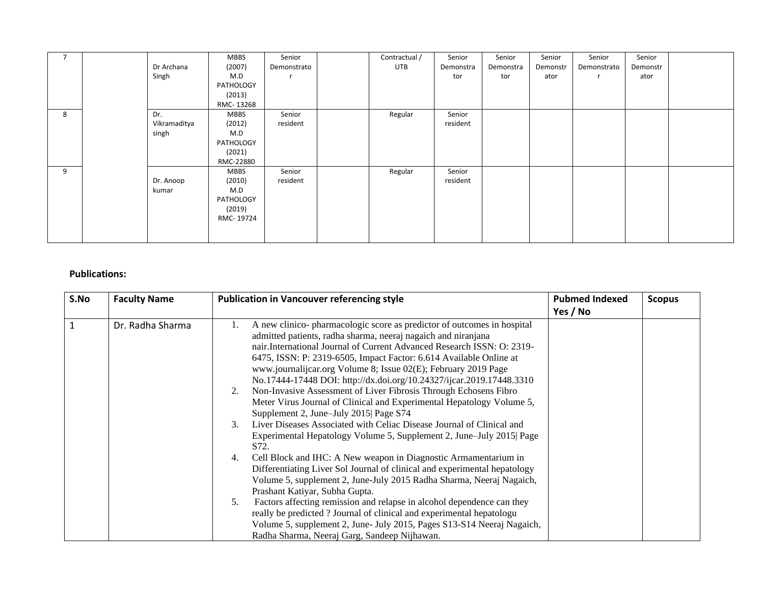| $\overline{7}$ |              | <b>MBBS</b> | Senior      | Contractual / | Senior    | Senior    | Senior   | Senior      | Senior   |  |
|----------------|--------------|-------------|-------------|---------------|-----------|-----------|----------|-------------|----------|--|
|                | Dr Archana   | (2007)      | Demonstrato | <b>UTB</b>    | Demonstra | Demonstra | Demonstr | Demonstrato | Demonstr |  |
|                | Singh        | M.D         |             |               | tor       | tor       | ator     |             | ator     |  |
|                |              | PATHOLOGY   |             |               |           |           |          |             |          |  |
|                |              | (2013)      |             |               |           |           |          |             |          |  |
|                |              | RMC-13268   |             |               |           |           |          |             |          |  |
| 8              | Dr.          | <b>MBBS</b> | Senior      | Regular       | Senior    |           |          |             |          |  |
|                | Vikramaditya | (2012)      | resident    |               | resident  |           |          |             |          |  |
|                | singh        | M.D         |             |               |           |           |          |             |          |  |
|                |              | PATHOLOGY   |             |               |           |           |          |             |          |  |
|                |              | (2021)      |             |               |           |           |          |             |          |  |
|                |              | RMC-22880   |             |               |           |           |          |             |          |  |
| 9              |              | <b>MBBS</b> | Senior      | Regular       | Senior    |           |          |             |          |  |
|                | Dr. Anoop    | (2010)      | resident    |               | resident  |           |          |             |          |  |
|                | kumar        | M.D         |             |               |           |           |          |             |          |  |
|                |              | PATHOLOGY   |             |               |           |           |          |             |          |  |
|                |              | (2019)      |             |               |           |           |          |             |          |  |
|                |              | RMC-19724   |             |               |           |           |          |             |          |  |
|                |              |             |             |               |           |           |          |             |          |  |
|                |              |             |             |               |           |           |          |             |          |  |

## **Publications:**

| S.No | <b>Faculty Name</b> | <b>Publication in Vancouver referencing style</b>                                                                                                                                                                                                                                                                                                                                                                                                                                                                                                                                                                                                                                                                                                                                                                                                                                                                                                                                                                                                                                                                                              | <b>Pubmed Indexed</b><br>Yes / No | <b>Scopus</b> |
|------|---------------------|------------------------------------------------------------------------------------------------------------------------------------------------------------------------------------------------------------------------------------------------------------------------------------------------------------------------------------------------------------------------------------------------------------------------------------------------------------------------------------------------------------------------------------------------------------------------------------------------------------------------------------------------------------------------------------------------------------------------------------------------------------------------------------------------------------------------------------------------------------------------------------------------------------------------------------------------------------------------------------------------------------------------------------------------------------------------------------------------------------------------------------------------|-----------------------------------|---------------|
|      | Dr. Radha Sharma    | A new clinico- pharmacologic score as predictor of outcomes in hospital<br>admitted patients, radha sharma, neeraj nagaich and niranjana<br>nair. International Journal of Current Advanced Research ISSN: O: 2319-<br>6475, ISSN: P: 2319-6505, Impact Factor: 6.614 Available Online at<br>www.journalijcar.org Volume 8; Issue 02(E); February 2019 Page<br>No.17444-17448 DOI: http://dx.doi.org/10.24327/ijcar.2019.17448.3310<br>Non-Invasive Assessment of Liver Fibrosis Through Echosens Fibro<br>2.<br>Meter Virus Journal of Clinical and Experimental Hepatology Volume 5,<br>Supplement 2, June–July 2015 Page S74<br>Liver Diseases Associated with Celiac Disease Journal of Clinical and<br>3.<br>Experimental Hepatology Volume 5, Supplement 2, June–July 2015  Page<br>S72.<br>Cell Block and IHC: A New weapon in Diagnostic Armamentarium in<br>4.<br>Differentiating Liver Sol Journal of clinical and experimental hepatology<br>Volume 5, supplement 2, June-July 2015 Radha Sharma, Neeraj Nagaich,<br>Prashant Katiyar, Subha Gupta.<br>Factors affecting remission and relapse in alcohol dependence can they<br>5. |                                   |               |
|      |                     | really be predicted? Journal of clinical and experimental hepatologu<br>Volume 5, supplement 2, June- July 2015, Pages S13-S14 Neeraj Nagaich,<br>Radha Sharma, Neeraj Garg, Sandeep Nijhawan.                                                                                                                                                                                                                                                                                                                                                                                                                                                                                                                                                                                                                                                                                                                                                                                                                                                                                                                                                 |                                   |               |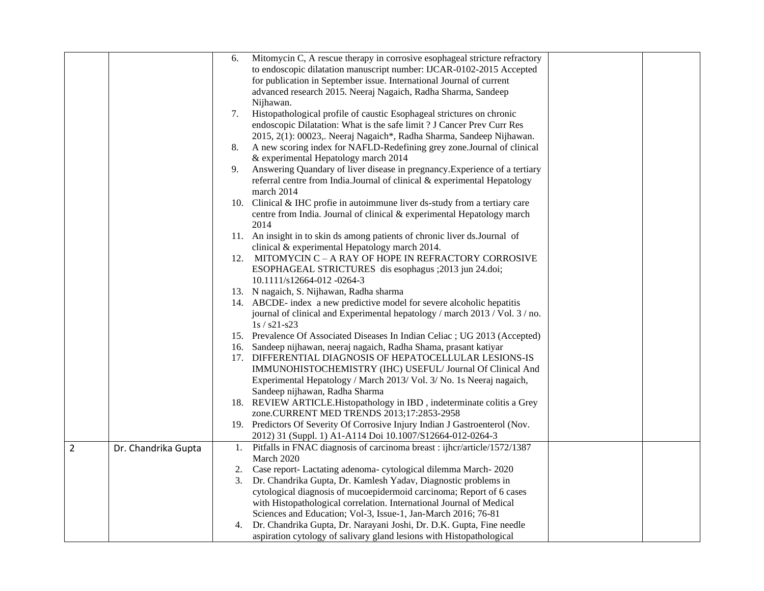|                |                     | 6. | Mitomycin C, A rescue therapy in corrosive esophageal stricture refractory  |  |
|----------------|---------------------|----|-----------------------------------------------------------------------------|--|
|                |                     |    | to endoscopic dilatation manuscript number: IJCAR-0102-2015 Accepted        |  |
|                |                     |    | for publication in September issue. International Journal of current        |  |
|                |                     |    | advanced research 2015. Neeraj Nagaich, Radha Sharma, Sandeep               |  |
|                |                     |    | Nijhawan.                                                                   |  |
|                |                     | 7. | Histopathological profile of caustic Esophageal strictures on chronic       |  |
|                |                     |    | endoscopic Dilatation: What is the safe limit ? J Cancer Prev Curr Res      |  |
|                |                     |    |                                                                             |  |
|                |                     |    | 2015, 2(1): 00023,. Neeraj Nagaich*, Radha Sharma, Sandeep Nijhawan.        |  |
|                |                     | 8. | A new scoring index for NAFLD-Redefining grey zone. Journal of clinical     |  |
|                |                     |    | & experimental Hepatology march 2014                                        |  |
|                |                     | 9. | Answering Quandary of liver disease in pregnancy. Experience of a tertiary  |  |
|                |                     |    | referral centre from India.Journal of clinical & experimental Hepatology    |  |
|                |                     |    | march 2014                                                                  |  |
|                |                     |    | 10. Clinical & IHC profie in autoimmune liver ds-study from a tertiary care |  |
|                |                     |    | centre from India. Journal of clinical & experimental Hepatology march      |  |
|                |                     |    | 2014                                                                        |  |
|                |                     |    | 11. An insight in to skin ds among patients of chronic liver ds. Journal of |  |
|                |                     |    | clinical & experimental Hepatology march 2014.                              |  |
|                |                     |    | 12. MITOMYCIN C - A RAY OF HOPE IN REFRACTORY CORROSIVE                     |  |
|                |                     |    | ESOPHAGEAL STRICTURES dis esophagus ;2013 jun 24.doi;                       |  |
|                |                     |    | 10.1111/s12664-012 -0264-3                                                  |  |
|                |                     |    | 13. N nagaich, S. Nijhawan, Radha sharma                                    |  |
|                |                     |    | 14. ABCDE- index a new predictive model for severe alcoholic hepatitis      |  |
|                |                     |    | journal of clinical and Experimental hepatology / march 2013 / Vol. 3 / no. |  |
|                |                     |    | $1s / s21 - s23$                                                            |  |
|                |                     |    | 15. Prevalence Of Associated Diseases In Indian Celiac ; UG 2013 (Accepted) |  |
|                |                     |    | 16. Sandeep nijhawan, neeraj nagaich, Radha Shama, prasant katiyar          |  |
|                |                     |    | 17. DIFFERENTIAL DIAGNOSIS OF HEPATOCELLULAR LESIONS-IS                     |  |
|                |                     |    | IMMUNOHISTOCHEMISTRY (IHC) USEFUL/ Journal Of Clinical And                  |  |
|                |                     |    | Experimental Hepatology / March 2013/ Vol. 3/ No. 1s Neeraj nagaich,        |  |
|                |                     |    | Sandeep nijhawan, Radha Sharma                                              |  |
|                |                     |    | 18. REVIEW ARTICLE. Histopathology in IBD, indeterminate colitis a Grey     |  |
|                |                     |    | zone.CURRENT MED TRENDS 2013;17:2853-2958                                   |  |
|                |                     |    | 19. Predictors Of Severity Of Corrosive Injury Indian J Gastroenterol (Nov. |  |
|                |                     |    | 2012) 31 (Suppl. 1) A1-A114 Doi 10.1007/S12664-012-0264-3                   |  |
| $\overline{2}$ | Dr. Chandrika Gupta |    | 1. Pitfalls in FNAC diagnosis of carcinoma breast: ijhcr/article/1572/1387  |  |
|                |                     |    | March 2020                                                                  |  |
|                |                     | 2. | Case report- Lactating adenoma-cytological dilemma March-2020               |  |
|                |                     | 3. | Dr. Chandrika Gupta, Dr. Kamlesh Yadav, Diagnostic problems in              |  |
|                |                     |    | cytological diagnosis of mucoepidermoid carcinoma; Report of 6 cases        |  |
|                |                     |    | with Histopathological correlation. International Journal of Medical        |  |
|                |                     |    | Sciences and Education; Vol-3, Issue-1, Jan-March 2016; 76-81               |  |
|                |                     | 4. | Dr. Chandrika Gupta, Dr. Narayani Joshi, Dr. D.K. Gupta, Fine needle        |  |
|                |                     |    |                                                                             |  |
|                |                     |    | aspiration cytology of salivary gland lesions with Histopathological        |  |